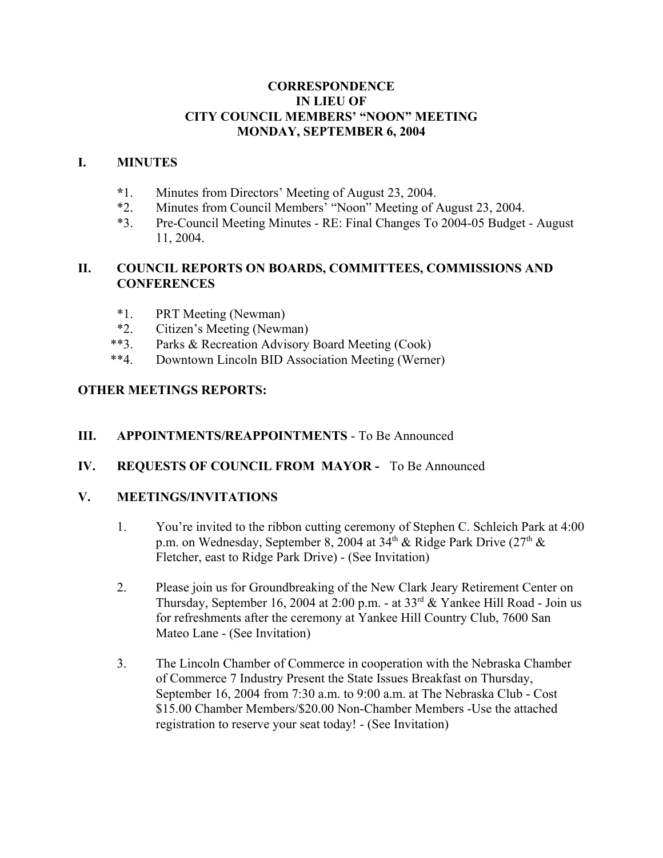#### **CORRESPONDENCE IN LIEU OF CITY COUNCIL MEMBERS' "NOON" MEETING MONDAY, SEPTEMBER 6, 2004**

#### **I. MINUTES**

- **\***1. Minutes from Directors' Meeting of August 23, 2004.
- \*2. Minutes from Council Members' "Noon" Meeting of August 23, 2004.
- \*3. Pre-Council Meeting Minutes RE: Final Changes To 2004-05 Budget August 11, 2004.

### **II. COUNCIL REPORTS ON BOARDS, COMMITTEES, COMMISSIONS AND CONFERENCES**

- \*1. PRT Meeting (Newman)
- \*2. Citizen's Meeting (Newman)
- \*\*3. Parks & Recreation Advisory Board Meeting (Cook)
- \*\*4. Downtown Lincoln BID Association Meeting (Werner)

### **OTHER MEETINGS REPORTS:**

#### **III. APPOINTMENTS/REAPPOINTMENTS** - To Be Announced

**IV. REQUESTS OF COUNCIL FROM MAYOR -** To Be Announced

### **V. MEETINGS/INVITATIONS**

- 1. You're invited to the ribbon cutting ceremony of Stephen C. Schleich Park at 4:00 p.m. on Wednesday, September 8, 2004 at 34<sup>th</sup> & Ridge Park Drive (27<sup>th</sup> & Fletcher, east to Ridge Park Drive) - (See Invitation)
- 2. Please join us for Groundbreaking of the New Clark Jeary Retirement Center on Thursday, September 16, 2004 at 2:00 p.m. - at  $33<sup>rd</sup>$  & Yankee Hill Road - Join us for refreshments after the ceremony at Yankee Hill Country Club, 7600 San Mateo Lane - (See Invitation)
- 3. The Lincoln Chamber of Commerce in cooperation with the Nebraska Chamber of Commerce 7 Industry Present the State Issues Breakfast on Thursday, September 16, 2004 from 7:30 a.m. to 9:00 a.m. at The Nebraska Club - Cost \$15.00 Chamber Members/\$20.00 Non-Chamber Members -Use the attached registration to reserve your seat today! - (See Invitation)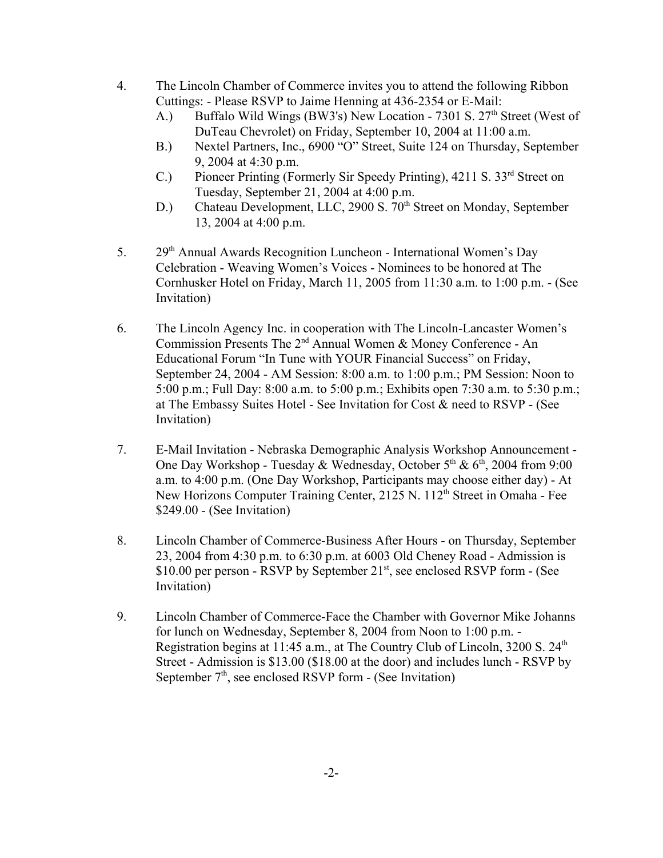- 4. The Lincoln Chamber of Commerce invites you to attend the following Ribbon Cuttings: - Please RSVP to Jaime Henning at 436-2354 or E-Mail:
	- A.) Buffalo Wild Wings (BW3's) New Location 7301 S.  $27<sup>th</sup>$  Street (West of DuTeau Chevrolet) on Friday, September 10, 2004 at 11:00 a.m.
	- B.) Nextel Partners, Inc., 6900 "O" Street, Suite 124 on Thursday, September 9, 2004 at 4:30 p.m.
	- C.) Pioneer Printing (Formerly Sir Speedy Printing), 4211 S. 33<sup>rd</sup> Street on Tuesday, September 21, 2004 at 4:00 p.m.
	- D.) Chateau Development, LLC, 2900 S. 70<sup>th</sup> Street on Monday, September 13, 2004 at 4:00 p.m.
- 5. 29<sup>th</sup> Annual Awards Recognition Luncheon International Women's Day Celebration - Weaving Women's Voices - Nominees to be honored at The Cornhusker Hotel on Friday, March 11, 2005 from 11:30 a.m. to 1:00 p.m. - (See Invitation)
- 6. The Lincoln Agency Inc. in cooperation with The Lincoln-Lancaster Women's Commission Presents The 2nd Annual Women & Money Conference - An Educational Forum "In Tune with YOUR Financial Success" on Friday, September 24, 2004 - AM Session: 8:00 a.m. to 1:00 p.m.; PM Session: Noon to 5:00 p.m.; Full Day: 8:00 a.m. to 5:00 p.m.; Exhibits open 7:30 a.m. to 5:30 p.m.; at The Embassy Suites Hotel - See Invitation for Cost & need to RSVP - (See Invitation)
- 7. E-Mail Invitation Nebraska Demographic Analysis Workshop Announcement One Day Workshop - Tuesday & Wednesday, October  $5<sup>th</sup>$  &  $6<sup>th</sup>$ , 2004 from 9:00 a.m. to 4:00 p.m. (One Day Workshop, Participants may choose either day) - At New Horizons Computer Training Center, 2125 N. 112<sup>th</sup> Street in Omaha - Fee \$249.00 - (See Invitation)
- 8. Lincoln Chamber of Commerce-Business After Hours on Thursday, September 23, 2004 from 4:30 p.m. to 6:30 p.m. at 6003 Old Cheney Road - Admission is  $$10.00$  per person - RSVP by September  $21<sup>st</sup>$ , see enclosed RSVP form - (See Invitation)
- 9. Lincoln Chamber of Commerce-Face the Chamber with Governor Mike Johanns for lunch on Wednesday, September 8, 2004 from Noon to 1:00 p.m. - Registration begins at 11:45 a.m., at The Country Club of Lincoln, 3200 S. 24<sup>th</sup> Street - Admission is \$13.00 (\$18.00 at the door) and includes lunch - RSVP by September  $7<sup>th</sup>$ , see enclosed RSVP form - (See Invitation)